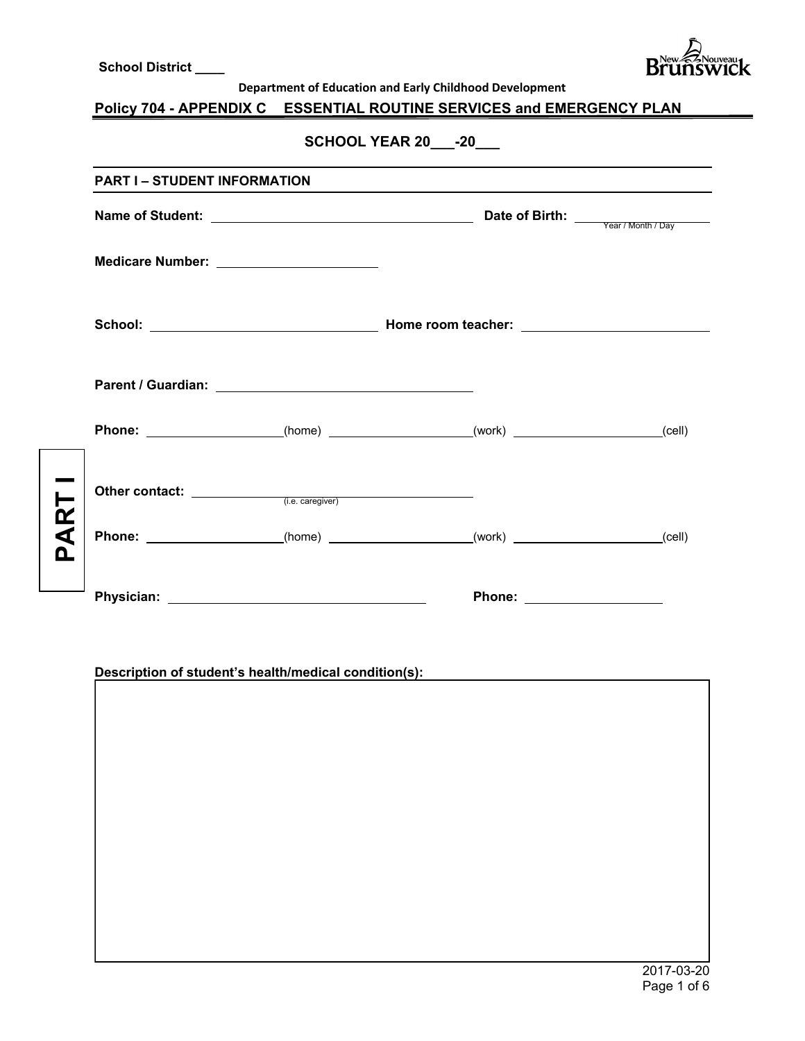|          | <b>School District ____</b>                |                                                                       | <b>Brunsy</b> |
|----------|--------------------------------------------|-----------------------------------------------------------------------|---------------|
|          |                                            | Department of Education and Early Childhood Development               |               |
|          |                                            | Policy 704 - APPENDIX C ESSENTIAL ROUTINE SERVICES and EMERGENCY PLAN |               |
|          |                                            | SCHOOL YEAR 20 -20                                                    |               |
|          | <b>PART I – STUDENT INFORMATION</b>        |                                                                       |               |
|          |                                            |                                                                       |               |
|          | Medicare Number: _________________________ |                                                                       |               |
|          |                                            |                                                                       |               |
|          |                                            |                                                                       |               |
|          |                                            |                                                                       |               |
|          |                                            |                                                                       |               |
| <u>n</u> |                                            |                                                                       |               |
|          |                                            | Phone: <u>____________________</u>                                    |               |

# **Description of student's health/medical condition(s):**

I

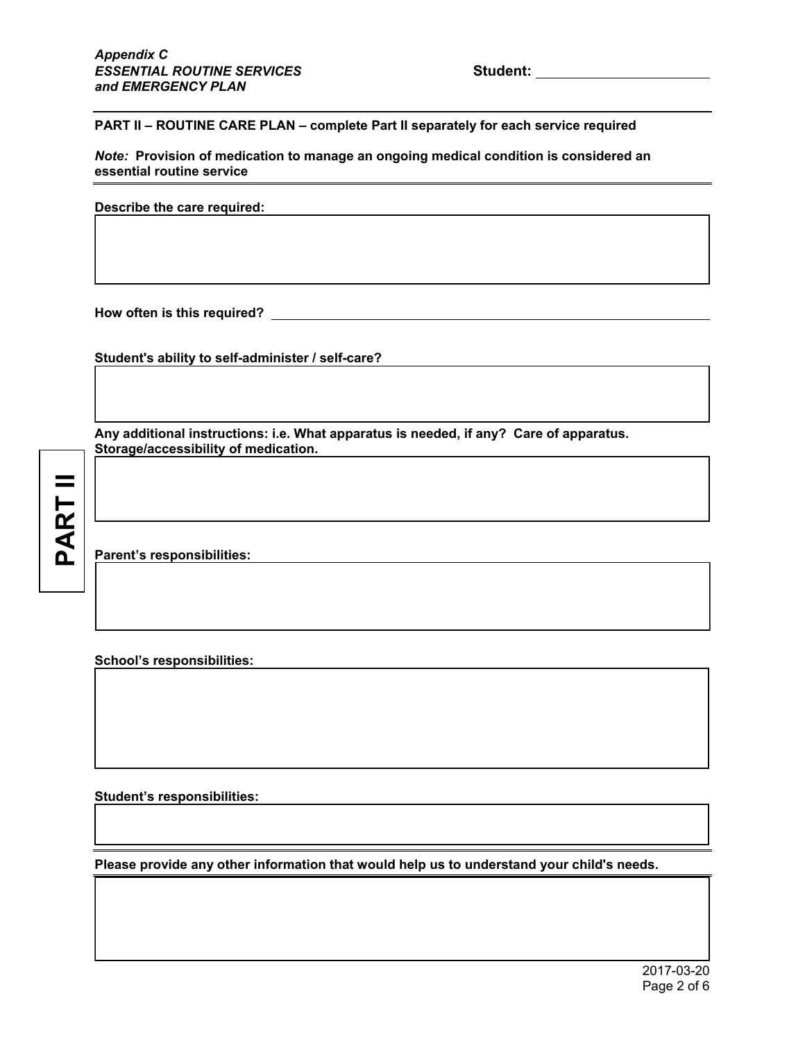**PART II – ROUTINE CARE PLAN – complete Part II separately for each service required** 

*Note:* **Provision of medication to manage an ongoing medical condition is considered an essential routine service**

**Describe the care required:** 

**How often is this required?** 

**Student's ability to self-administer / self-care?** 

**Any additional instructions: i.e. What apparatus is needed, if any? Care of apparatus. Storage/accessibility of medication.** 

**PART II**

I

I

I

I

I

I

 $\overline{\phantom{a}}$ 

I

I

**Parent's responsibilities:** 

**School's responsibilities:** 

**Student's responsibilities:** 

**Please provide any other information that would help us to understand your child's needs.**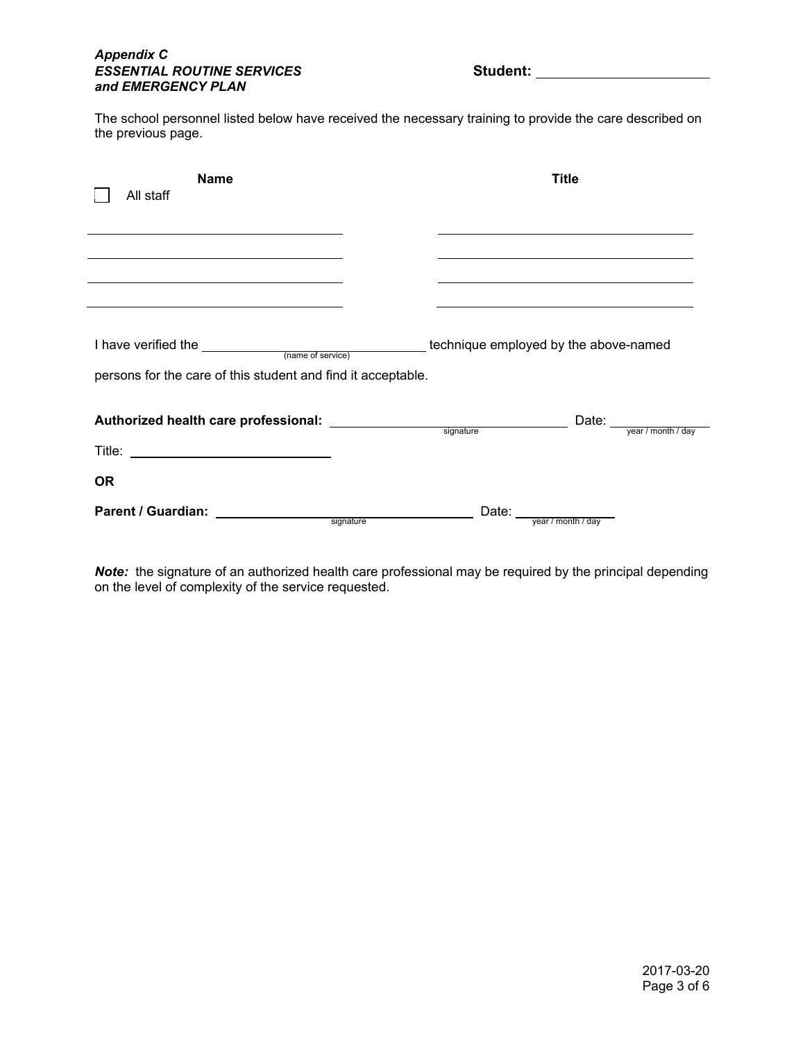#### *Appendix C*  **ESSENTIAL ROUTINE SERVICES** Student: *and EMERGENCY PLAN*

The school personnel listed below have received the necessary training to provide the care described on the previous page.

| <b>Name</b><br>All staff                                                                                                                                                                                                                                                                                                                                                                                                                                       |       | <b>Title</b>                                                                                                                                                                                                                                                                                |
|----------------------------------------------------------------------------------------------------------------------------------------------------------------------------------------------------------------------------------------------------------------------------------------------------------------------------------------------------------------------------------------------------------------------------------------------------------------|-------|---------------------------------------------------------------------------------------------------------------------------------------------------------------------------------------------------------------------------------------------------------------------------------------------|
|                                                                                                                                                                                                                                                                                                                                                                                                                                                                |       |                                                                                                                                                                                                                                                                                             |
| the control of the control of the control of the control of the control of the control of the control of the control of the control of the control of the control of the control of the control of the control of the control<br>the control of the control of the control of the control of the control of the control of the control of the control of the control of the control of the control of the control of the control of the control of the control |       | the control of the control of the control of the control of the control of the control of the control of the control of the control of the control of the control of the control of the control of the control of the control<br><u> 1989 - Johann Stoff, amerikansk politiker (* 1908)</u> |
|                                                                                                                                                                                                                                                                                                                                                                                                                                                                |       |                                                                                                                                                                                                                                                                                             |
| persons for the care of this student and find it acceptable.                                                                                                                                                                                                                                                                                                                                                                                                   |       |                                                                                                                                                                                                                                                                                             |
|                                                                                                                                                                                                                                                                                                                                                                                                                                                                |       |                                                                                                                                                                                                                                                                                             |
| <b>OR</b>                                                                                                                                                                                                                                                                                                                                                                                                                                                      |       |                                                                                                                                                                                                                                                                                             |
| <b>Parent / Guardian:</b><br>signature                                                                                                                                                                                                                                                                                                                                                                                                                         | Date: | year / month / day                                                                                                                                                                                                                                                                          |

*Note:* the signature of an authorized health care professional may be required by the principal depending on the level of complexity of the service requested.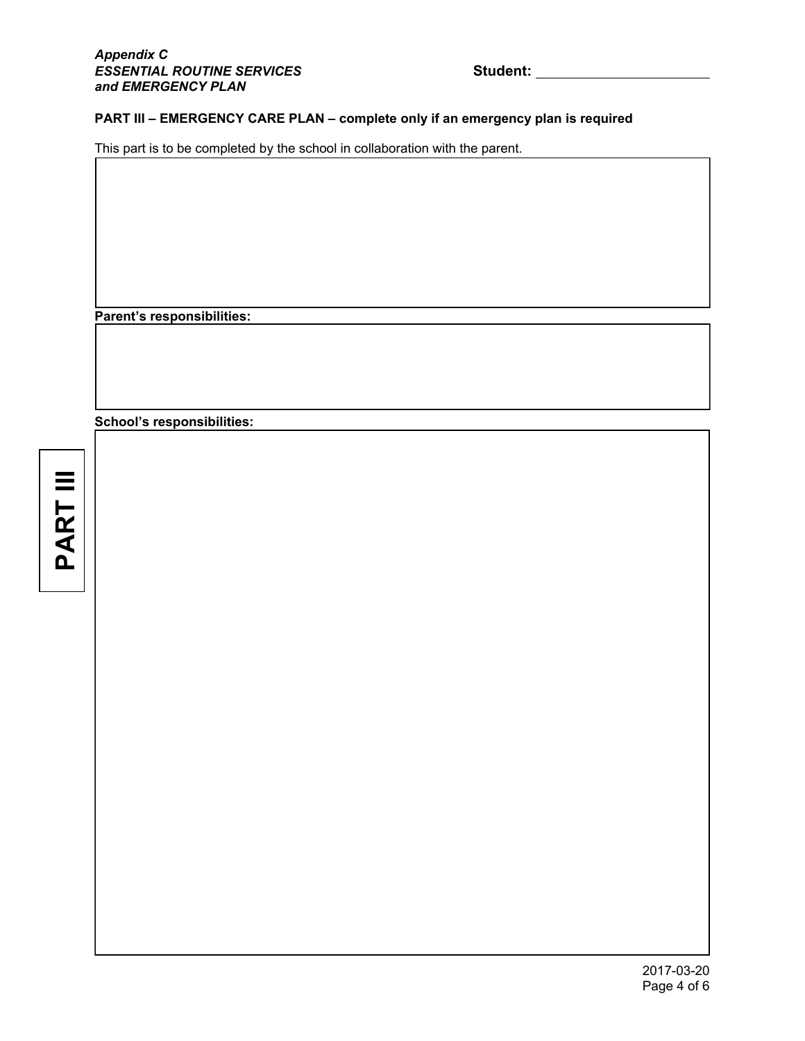## **PART III – EMERGENCY CARE PLAN – complete only if an emergency plan is required**

This part is to be completed by the school in collaboration with the parent.

**Parent's responsibilities:** 

**School's responsibilities:** 

**PARTIII PART III**

I

I

I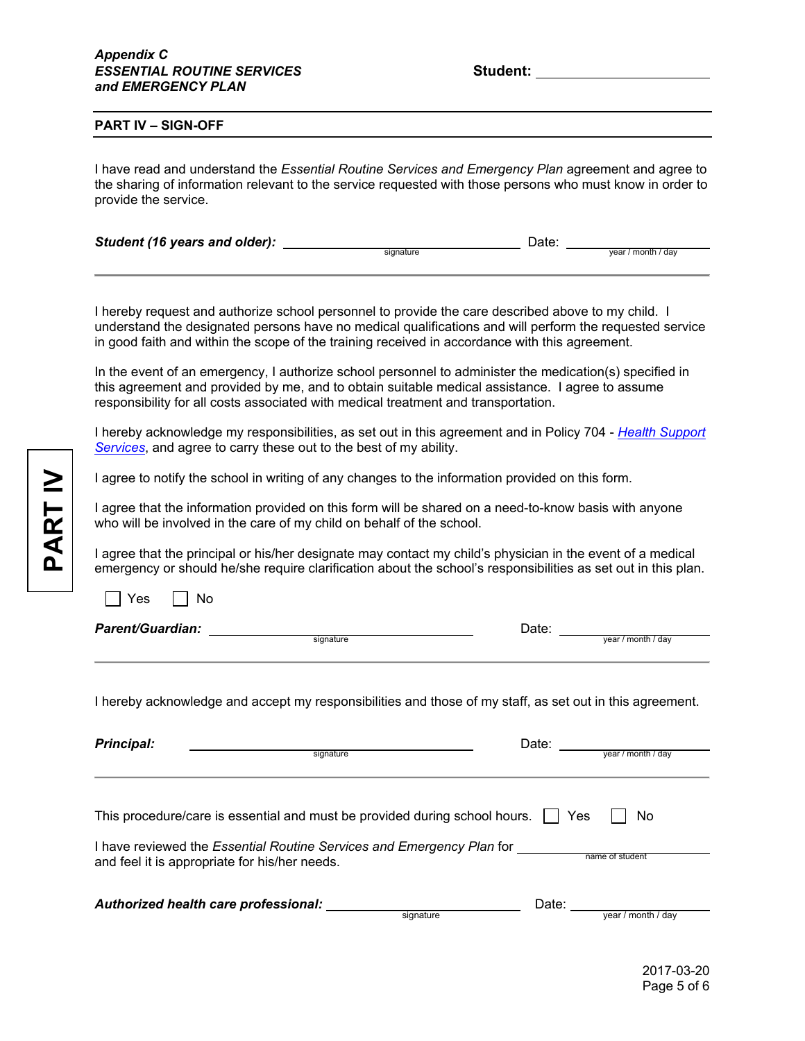#### **PART IV – SIGN-OFF**

I have read and understand the *Essential Routine Services and Emergency Plan* agreement and agree to the sharing of information relevant to the service requested with those persons who must know in order to provide the service.

| Student (16 years and older): |           | Date: |                         |
|-------------------------------|-----------|-------|-------------------------|
|                               | sianature |       | vear / month /<br>' dav |

I hereby request and authorize school personnel to provide the care described above to my child. I understand the designated persons have no medical qualifications and will perform the requested service in good faith and within the scope of the training received in accordance with this agreement.

In the event of an emergency, I authorize school personnel to administer the medication(s) specified in this agreement and provided by me, and to obtain suitable medical assistance. I agree to assume responsibility for all costs associated with medical treatment and transportation.

I hereby acknowledge my responsibilities, as set out in this agreement and in Policy 704 - *Health Support Services*, and agree to carry these out to the best of my ability.

I agree to notify the school in writing of any changes to the information provided on this form.

I agree that the information provided on this form will be shared on a need-to-know basis with anyone who will be involved in the care of my child on behalf of the school.

I agree that the principal or his/her designate may contact my child's physician in the event of a medical emergency or should he/she require clarification about the school's responsibilities as set out in this plan.

 $\Box$  Yes  $\Box$  No

*Parent/Guardian:* Date: signature year / month / day

I hereby acknowledge and accept my responsibilities and those of my staff, as set out in this agreement.

| <b>Principal:</b>                                                                                                             | Date:     |       |                    |  |
|-------------------------------------------------------------------------------------------------------------------------------|-----------|-------|--------------------|--|
|                                                                                                                               | signature |       | vear / month / day |  |
|                                                                                                                               |           |       |                    |  |
| This procedure/care is essential and must be provided during school hours.                                                    |           | Yes   | No                 |  |
| I have reviewed the <i>Essential Routine Services and Emergency Plan</i> for<br>and feel it is appropriate for his/her needs. |           |       | name of student    |  |
| Authorized health care professional:                                                                                          | signature | Date: | year / month / day |  |

2017-03-20 Page 5 of 6